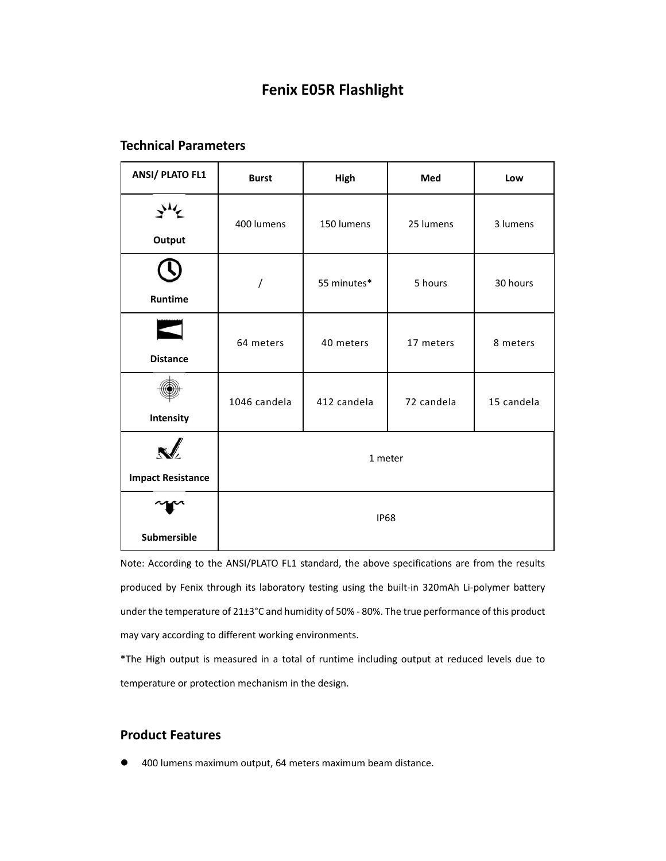# **Fenix E05R Flashlight**

# **Technical Parameters**

| <b>ANSI/ PLATO FL1</b>   | <b>Burst</b> | High        | Med        | Low        |
|--------------------------|--------------|-------------|------------|------------|
| Output                   | 400 lumens   | 150 lumens  | 25 lumens  | 3 lumens   |
| Runtime                  |              | 55 minutes* | 5 hours    | 30 hours   |
| <b>Distance</b>          | 64 meters    | 40 meters   | 17 meters  | 8 meters   |
| Intensity                | 1046 candela | 412 candela | 72 candela | 15 candela |
| <b>Impact Resistance</b> | 1 meter      |             |            |            |
| <b>Submersible</b>       | <b>IP68</b>  |             |            |            |

Note: According to the ANSI/PLATO FL1 standard, the above specifications are from the results produced by Fenix through its laboratory testing using the built-in 320mAh Li-polymer battery under the temperature of 21±3°C and humidity of 50% - 80%. The true performance of this product may vary according to different working environments.

\*The High output is measured in a total of runtime including output at reduced levels due to temperature or protection mechanism in the design.

### **Product Features**

400 lumens maximum output, 64 meters maximum beam distance.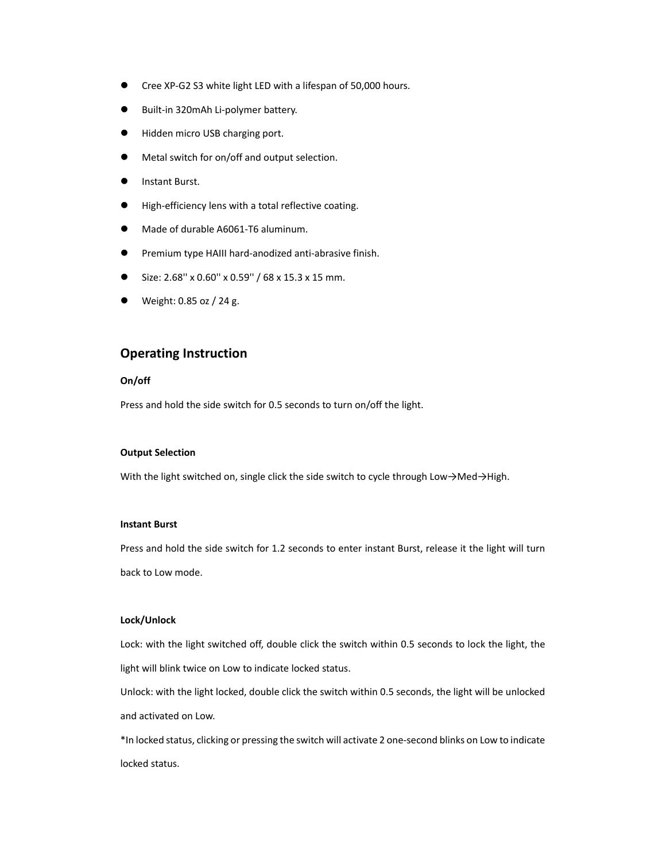- Cree XP‐G2 S3 white light LED with a lifespan of 50,000 hours.
- Built‐in 320mAh Li‐polymer battery.
- Hidden micro USB charging port.
- Metal switch for on/off and output selection.
- Instant Burst.
- High-efficiency lens with a total reflective coating.
- Made of durable A6061‐T6 aluminum.
- Premium type HAIII hard‐anodized anti‐abrasive finish.
- Size: 2.68'' x 0.60'' x 0.59'' / 68 x 15.3 x 15 mm.
- Weight: 0.85 oz / 24 g.

### **Operating Instruction**

#### **On/off**

Press and hold the side switch for 0.5 seconds to turn on/off the light.

#### **Output Selection**

With the light switched on, single click the side switch to cycle through Low→Med→High.

#### **Instant Burst**

Press and hold the side switch for 1.2 seconds to enter instant Burst, release it the light will turn back to Low mode.

#### **Lock/Unlock**

Lock: with the light switched off, double click the switch within 0.5 seconds to lock the light, the light will blink twice on Low to indicate locked status.

Unlock: with the light locked, double click the switch within 0.5 seconds, the light will be unlocked and activated on Low.

\*In locked status, clicking or pressing the switch will activate 2 one‐second blinks on Low to indicate locked status.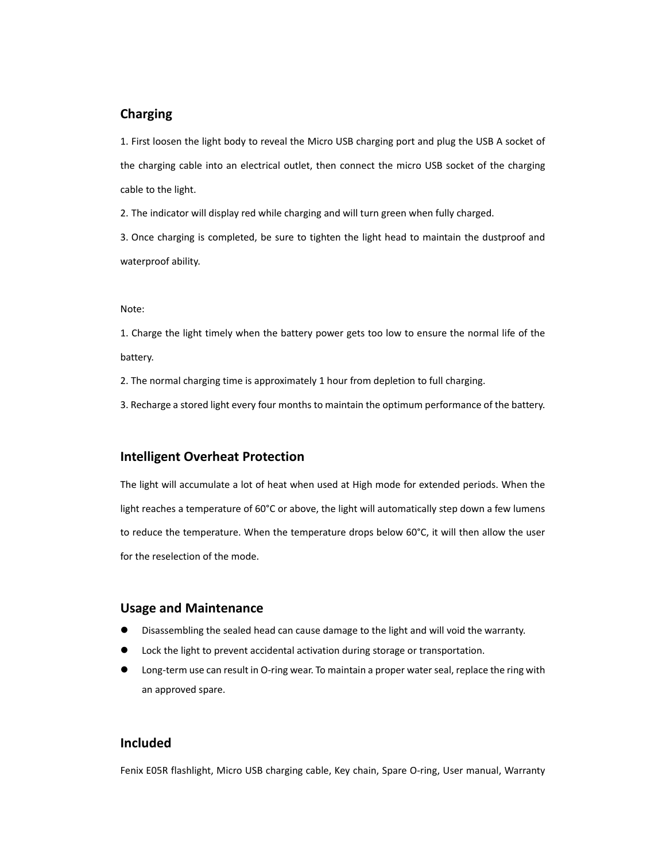### **Charging**

1. First loosen the light body to reveal the Micro USB charging port and plug the USB A socket of the charging cable into an electrical outlet, then connect the micro USB socket of the charging cable to the light.

2. The indicator will display red while charging and will turn green when fully charged.

3. Once charging is completed, be sure to tighten the light head to maintain the dustproof and waterproof ability.

#### Note:

1. Charge the light timely when the battery power gets too low to ensure the normal life of the battery.

2. The normal charging time is approximately 1 hour from depletion to full charging.

3. Recharge a stored light every four months to maintain the optimum performance of the battery.

### **Intelligent Overheat Protection**

The light will accumulate a lot of heat when used at High mode for extended periods. When the light reaches a temperature of 60°C or above, the light will automatically step down a few lumens to reduce the temperature. When the temperature drops below 60°C, it will then allow the user for the reselection of the mode.

### **Usage and Maintenance**

- Disassembling the sealed head can cause damage to the light and will void the warranty.
- Lock the light to prevent accidental activation during storage or transportation.
- Long-term use can result in O-ring wear. To maintain a proper water seal, replace the ring with an approved spare.

### **Included**

Fenix E05R flashlight, Micro USB charging cable, Key chain, Spare O-ring, User manual, Warranty